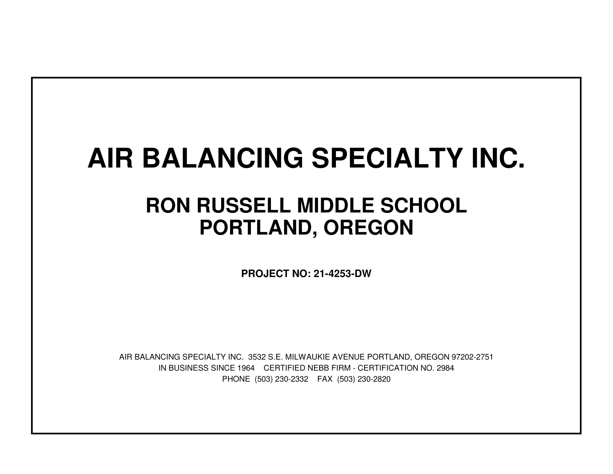# **AIR BALANCING SPECIALTY INC.**

## **RON RUSSELL MIDDLE SCHOOLPORTLAND, OREGON**

**PROJECT NO: 21-4253-DW**

IN BUSINESS SINCE 1964 CERTIFIED NEBB FIRM - CERTIFICATION NO. 2984PHONE (503) 230-2332 FAX (503) 230-2820AIR BALANCING SPECIALTY INC. 3532 S.E. MILWAUKIE AVENUE PORTLAND, OREGON 97202-2751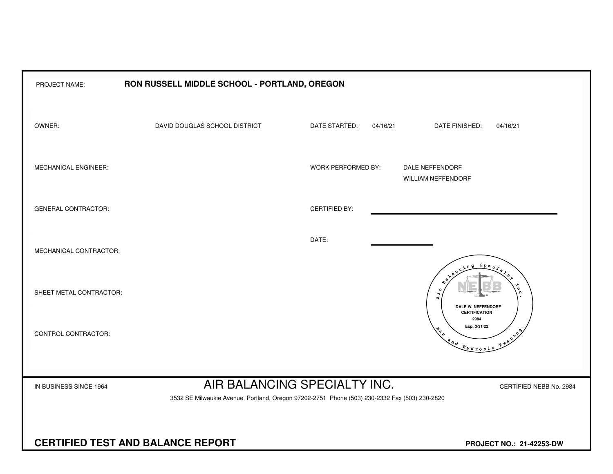| PROJECT NAME:              | RON RUSSELL MIDDLE SCHOOL - PORTLAND, OREGON                                                 |                              |                                                                                                                                                                                                                                                                                                                                                                                                                             |  |  |  |  |  |  |  |  |
|----------------------------|----------------------------------------------------------------------------------------------|------------------------------|-----------------------------------------------------------------------------------------------------------------------------------------------------------------------------------------------------------------------------------------------------------------------------------------------------------------------------------------------------------------------------------------------------------------------------|--|--|--|--|--|--|--|--|
| OWNER:                     | DAVID DOUGLAS SCHOOL DISTRICT                                                                | DATE STARTED:<br>04/16/21    | DATE FINISHED:<br>04/16/21                                                                                                                                                                                                                                                                                                                                                                                                  |  |  |  |  |  |  |  |  |
| MECHANICAL ENGINEER:       |                                                                                              | WORK PERFORMED BY:           | DALE NEFFENDORF<br>WILLIAM NEFFENDORF                                                                                                                                                                                                                                                                                                                                                                                       |  |  |  |  |  |  |  |  |
| <b>GENERAL CONTRACTOR:</b> |                                                                                              | <b>CERTIFIED BY:</b>         |                                                                                                                                                                                                                                                                                                                                                                                                                             |  |  |  |  |  |  |  |  |
| MECHANICAL CONTRACTOR:     |                                                                                              | DATE:                        | $S_{PQ}$                                                                                                                                                                                                                                                                                                                                                                                                                    |  |  |  |  |  |  |  |  |
| SHEET METAL CONTRACTOR:    |                                                                                              |                              | م<br>م<br>$\overline{A}$ $\overline{A}$<br>DALE W. NEFFENDORF<br><b>CERTIFICATION</b>                                                                                                                                                                                                                                                                                                                                       |  |  |  |  |  |  |  |  |
| CONTROL CONTRACTOR:        |                                                                                              |                              | 2984<br>Exp. 3/31/22<br>$x^{\lambda^{\Phi}}$<br>$\begin{picture}(180,170) \put(0,0){\vector(1,0){10}} \put(15,0){\vector(1,0){10}} \put(15,0){\vector(1,0){10}} \put(15,0){\vector(1,0){10}} \put(15,0){\vector(1,0){10}} \put(15,0){\vector(1,0){10}} \put(15,0){\vector(1,0){10}} \put(15,0){\vector(1,0){10}} \put(15,0){\vector(1,0){10}} \put(15,0){\vector(1,0){10}} \put(15,0){\vector(1,0){10}} \put(15,0){\vector$ |  |  |  |  |  |  |  |  |
| IN BUSINESS SINCE 1964     | 3532 SE Milwaukie Avenue Portland, Oregon 97202-2751 Phone (503) 230-2332 Fax (503) 230-2820 | AIR BALANCING SPECIALTY INC. | CERTIFIED NEBB No. 2984                                                                                                                                                                                                                                                                                                                                                                                                     |  |  |  |  |  |  |  |  |
|                            | <b>CERTIFIED TEST AND BALANCE REPORT</b><br>PROJECT NO.: 21-42253-DW                         |                              |                                                                                                                                                                                                                                                                                                                                                                                                                             |  |  |  |  |  |  |  |  |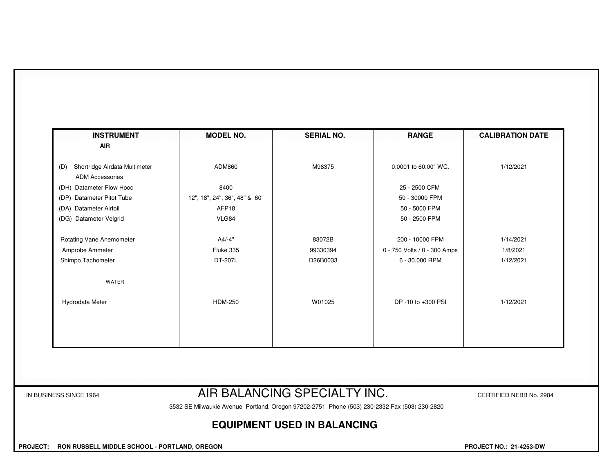| <b>INSTRUMENT</b>                                              | <b>MODEL NO.</b>              | <b>SERIAL NO.</b> | <b>RANGE</b>                 | <b>CALIBRATION DATE</b> |
|----------------------------------------------------------------|-------------------------------|-------------------|------------------------------|-------------------------|
| <b>AIR</b>                                                     |                               |                   |                              |                         |
| Shortridge Airdata Multimeter<br>(D)<br><b>ADM Accessories</b> | ADM860                        | M98375            | 0.0001 to 60.00" WC.         | 1/12/2021               |
| (DH) Datameter Flow Hood                                       | 8400                          |                   | 25 - 2500 CFM                |                         |
| (DP) Datameter Pitot Tube                                      | 12", 18", 24", 36", 48" & 60" |                   | 50 - 30000 FPM               |                         |
| (DA) Datameter Airfoil                                         | AFP18                         |                   | 50 - 5000 FPM                |                         |
| (DG) Datameter Velgrid                                         | VLG84                         |                   | 50 - 2500 FPM                |                         |
| Rotating Vane Anemometer                                       | $A4/-4"$                      | 83072B            | 200 - 10000 FPM              | 1/14/2021               |
| Amprobe Ammeter                                                | Fluke 335                     | 99330394          | 0 - 750 Volts / 0 - 300 Amps | 1/8/2021                |
| Shimpo Tachometer                                              | DT-207L                       | D26B0033          | 6 - 30,000 RPM               | 1/12/2021               |
| <b>WATER</b>                                                   |                               |                   |                              |                         |
| Hydrodata Meter                                                | <b>HDM-250</b>                | W01025            | DP -10 to +300 PSI           | 1/12/2021               |
|                                                                |                               |                   |                              |                         |
|                                                                |                               |                   |                              |                         |
|                                                                |                               |                   |                              |                         |

### IN BUSINESS SINCE 1964 **AIR BALANCING SPECIALTY INC.** CERTIFIED NEBB No. 2984

3532 SE Milwaukie Avenue Portland, Oregon 97202-2751 Phone (503) 230-2332 Fax (503) 230-2820

#### **EQUIPMENT USED IN BALANCING**

 **PROJECT: RON RUSSELL MIDDLE SCHOOL - PORTLAND, OREGON PROJECT NO.: 21-4253-DW**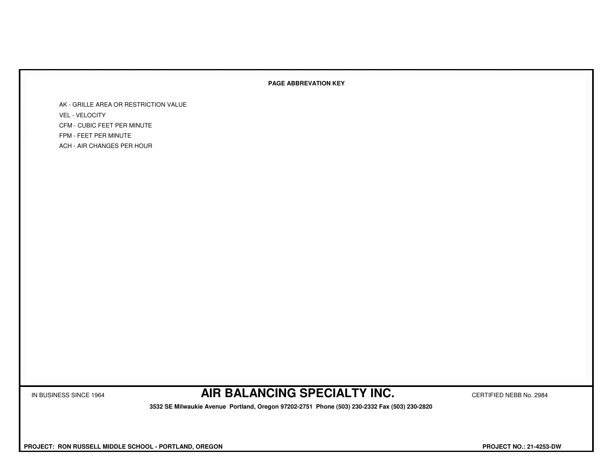#### **PAGE ABBREVATION KEY**

AK - GRILLE AREA OR RESTRICTION VALUEVEL - VELOCITY CFM - CUBIC FEET PER MINUTEFPM - FEET PER MINUTEACH - AIR CHANGES PER HOUR

IN BUSINESS SINCE 1964 **AIR BALANCING SPECIALTY INC.** CERTIFIED NEBB No. 2984

 **3532 SE Milwaukie Avenue Portland, Oregon 97202-2751 Phone (503) 230-2332 Fax (503) 230-2820**

 **PROJECT: RON RUSSELL MIDDLE SCHOOL - PORTLAND, OREGON PROJECT NO.: 21-4253-DW**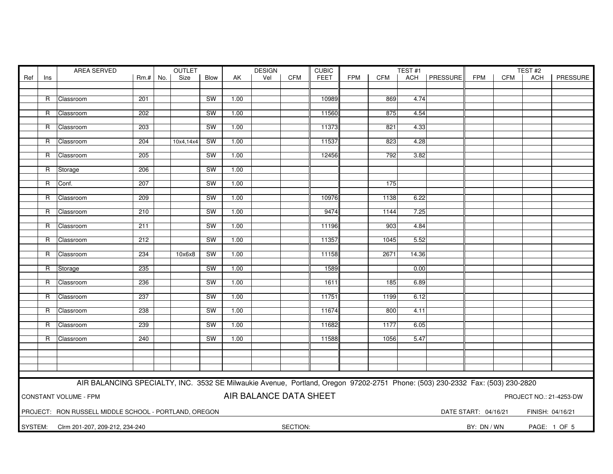| AREA SERVED<br>OUTLET<br><b>DESIGN</b><br><b>CUBIC</b> |                                                                                   |                                                                                                                               |        |     | TEST#1    | TEST#2    |      |     |            |             |            |            |       |                |                      |            |                  |          |
|--------------------------------------------------------|-----------------------------------------------------------------------------------|-------------------------------------------------------------------------------------------------------------------------------|--------|-----|-----------|-----------|------|-----|------------|-------------|------------|------------|-------|----------------|----------------------|------------|------------------|----------|
| Ref                                                    | Ins                                                                               |                                                                                                                               | $Rm.+$ | No. | Size      | Blow      | AK   | Vel | <b>CFM</b> | <b>FEET</b> | <b>FPM</b> | <b>CFM</b> |       | ACH   PRESSURE | <b>FPM</b>           | <b>CFM</b> | <b>ACH</b>       | PRESSURE |
|                                                        |                                                                                   |                                                                                                                               |        |     |           |           |      |     |            |             |            |            |       |                |                      |            |                  |          |
|                                                        |                                                                                   |                                                                                                                               |        |     |           |           |      |     |            |             |            |            |       |                |                      |            |                  |          |
|                                                        |                                                                                   | R Classroom                                                                                                                   | 201    |     |           | <b>SW</b> | 1.00 |     |            | 10989       |            | 869        | 4.74  |                |                      |            |                  |          |
|                                                        |                                                                                   | R Classroom                                                                                                                   | 202    |     |           | <b>SW</b> | 1.00 |     |            | 11560       |            | 875        | 4.54  |                |                      |            |                  |          |
|                                                        |                                                                                   |                                                                                                                               |        |     |           |           |      |     |            |             |            |            |       |                |                      |            |                  |          |
|                                                        | $\mathsf{R}$                                                                      | Classroom                                                                                                                     | 203    |     |           | SW        | 1.00 |     |            | 11373       |            | 821        | 4.33  |                |                      |            |                  |          |
|                                                        |                                                                                   |                                                                                                                               |        |     |           |           |      |     |            |             |            |            |       |                |                      |            |                  |          |
|                                                        | R                                                                                 | Classroom                                                                                                                     | 204    |     | 10x4,14x4 | SW        | 1.00 |     |            | 11537       |            | 823        | 4.28  |                |                      |            |                  |          |
|                                                        |                                                                                   |                                                                                                                               |        |     |           |           |      |     |            |             |            |            |       |                |                      |            |                  |          |
|                                                        | R.                                                                                | Classroom                                                                                                                     | 205    |     |           | SW        | 1.00 |     |            | 12456       |            | 792        | 3.82  |                |                      |            |                  |          |
|                                                        |                                                                                   |                                                                                                                               |        |     |           |           |      |     |            |             |            |            |       |                |                      |            |                  |          |
|                                                        |                                                                                   | R Storage                                                                                                                     | 206    |     |           | <b>SW</b> | 1.00 |     |            |             |            |            |       |                |                      |            |                  |          |
|                                                        | R                                                                                 | Conf.                                                                                                                         | 207    |     |           | SW        | 1.00 |     |            |             |            | 175        |       |                |                      |            |                  |          |
|                                                        |                                                                                   |                                                                                                                               |        |     |           |           |      |     |            |             |            |            |       |                |                      |            |                  |          |
|                                                        | R.                                                                                | Classroom                                                                                                                     | 209    |     |           | <b>SW</b> | 1.00 |     |            | 10976       |            | 1138       | 6.22  |                |                      |            |                  |          |
|                                                        |                                                                                   |                                                                                                                               |        |     |           |           |      |     |            |             |            |            |       |                |                      |            |                  |          |
|                                                        |                                                                                   | R Classroom                                                                                                                   | 210    |     |           | SW        | 1.00 |     |            | 9474        |            | 1144       | 7.25  |                |                      |            |                  |          |
|                                                        |                                                                                   |                                                                                                                               |        |     |           |           |      |     |            |             |            |            |       |                |                      |            |                  |          |
|                                                        | R                                                                                 | Classroom                                                                                                                     | 211    |     |           | <b>SW</b> | 1.00 |     |            | 11196       |            | 903        | 4.84  |                |                      |            |                  |          |
|                                                        |                                                                                   |                                                                                                                               |        |     |           |           |      |     |            |             |            |            |       |                |                      |            |                  |          |
|                                                        | R                                                                                 | Classroom                                                                                                                     | 212    |     |           | SW        | 1.00 |     |            | 11357       |            | 1045       | 5.52  |                |                      |            |                  |          |
|                                                        |                                                                                   | R Classroom                                                                                                                   | 234    |     | 10x6x8    | SW        | 1.00 |     |            | 11158       |            | 2671       | 14.36 |                |                      |            |                  |          |
|                                                        |                                                                                   |                                                                                                                               |        |     |           |           |      |     |            |             |            |            |       |                |                      |            |                  |          |
|                                                        |                                                                                   | R Storage                                                                                                                     | 235    |     |           | SW        | 1.00 |     |            | 1589        |            |            | 0.00  |                |                      |            |                  |          |
|                                                        |                                                                                   |                                                                                                                               |        |     |           |           |      |     |            |             |            |            |       |                |                      |            |                  |          |
|                                                        |                                                                                   | R Classroom                                                                                                                   | 236    |     |           | SW        | 1.00 |     |            | 1611        |            | 185        | 6.89  |                |                      |            |                  |          |
|                                                        |                                                                                   |                                                                                                                               |        |     |           |           |      |     |            |             |            |            |       |                |                      |            |                  |          |
|                                                        | R                                                                                 | Classroom                                                                                                                     | 237    |     |           | SW        | 1.00 |     |            | 11751       |            | 1199       | 6.12  |                |                      |            |                  |          |
|                                                        |                                                                                   |                                                                                                                               |        |     |           |           |      |     |            |             |            |            |       |                |                      |            |                  |          |
|                                                        | R                                                                                 | Classroom                                                                                                                     | 238    |     |           | <b>SW</b> | 1.00 |     |            | 11674       |            | 800        | 4.11  |                |                      |            |                  |          |
|                                                        | R                                                                                 | Classroom                                                                                                                     | 239    |     |           | <b>SW</b> | 1.00 |     |            | 11682       |            | 1177       | 6.05  |                |                      |            |                  |          |
|                                                        |                                                                                   |                                                                                                                               |        |     |           |           |      |     |            |             |            |            |       |                |                      |            |                  |          |
|                                                        | R                                                                                 | Classroom                                                                                                                     | 240    |     |           | SW        | 1.00 |     |            | 11588       |            | 1056       | 5.47  |                |                      |            |                  |          |
|                                                        |                                                                                   |                                                                                                                               |        |     |           |           |      |     |            |             |            |            |       |                |                      |            |                  |          |
|                                                        |                                                                                   |                                                                                                                               |        |     |           |           |      |     |            |             |            |            |       |                |                      |            |                  |          |
|                                                        |                                                                                   |                                                                                                                               |        |     |           |           |      |     |            |             |            |            |       |                |                      |            |                  |          |
|                                                        |                                                                                   |                                                                                                                               |        |     |           |           |      |     |            |             |            |            |       |                |                      |            |                  |          |
|                                                        |                                                                                   |                                                                                                                               |        |     |           |           |      |     |            |             |            |            |       |                |                      |            |                  |          |
|                                                        |                                                                                   | AIR BALANCING SPECIALTY, INC. 3532 SE Milwaukie Avenue, Portland, Oregon 97202-2751 Phone: (503) 230-2332 Fax: (503) 230-2820 |        |     |           |           |      |     |            |             |            |            |       |                |                      |            |                  |          |
|                                                        | AIR BALANCE DATA SHEET<br><b>CONSTANT VOLUME - FPM</b><br>PROJECT NO.: 21-4253-DW |                                                                                                                               |        |     |           |           |      |     |            |             |            |            |       |                |                      |            |                  |          |
|                                                        |                                                                                   |                                                                                                                               |        |     |           |           |      |     |            |             |            |            |       |                |                      |            |                  |          |
|                                                        |                                                                                   |                                                                                                                               |        |     |           |           |      |     |            |             |            |            |       |                |                      |            |                  |          |
|                                                        |                                                                                   | PROJECT: RON RUSSELL MIDDLE SCHOOL - PORTLAND, OREGON                                                                         |        |     |           |           |      |     |            |             |            |            |       |                | DATE START: 04/16/21 |            | FINISH: 04/16/21 |          |
| SYSTEM:                                                |                                                                                   | Clrm 201-207, 209-212, 234-240                                                                                                |        |     |           |           |      |     | SECTION:   |             |            |            |       |                | BY: DN / WN          |            | PAGE: 1 OF 5     |          |
|                                                        |                                                                                   |                                                                                                                               |        |     |           |           |      |     |            |             |            |            |       |                |                      |            |                  |          |
|                                                        |                                                                                   |                                                                                                                               |        |     |           |           |      |     |            |             |            |            |       |                |                      |            |                  |          |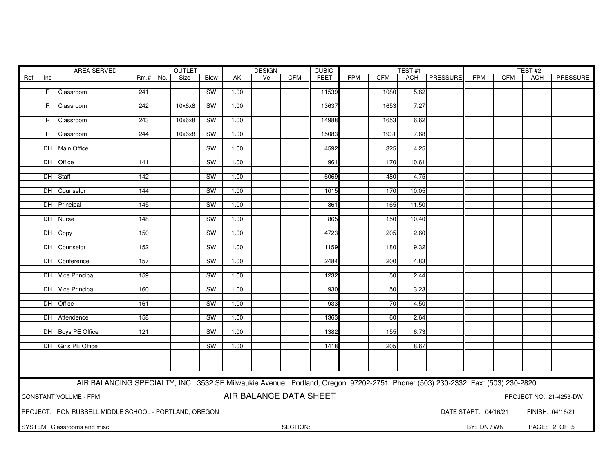|     |                                                                                   | AREA SERVED                                                                                                                   |        |     | OUTLET |           |      | <b>DESIGN</b> |            | <b>CUBIC</b> |            |            | TEST#1 |                |                      | TEST#2     |                  |          |
|-----|-----------------------------------------------------------------------------------|-------------------------------------------------------------------------------------------------------------------------------|--------|-----|--------|-----------|------|---------------|------------|--------------|------------|------------|--------|----------------|----------------------|------------|------------------|----------|
| Ref | Ins                                                                               |                                                                                                                               | $Rm.+$ | No. | Size   | Blow      | AK   | Vel           | <b>CFM</b> | <b>FEET</b>  | <b>FPM</b> | <b>CFM</b> |        | ACH   PRESSURE | <b>FPM</b>           | <b>CFM</b> | ACH              | PRESSURE |
|     |                                                                                   |                                                                                                                               |        |     |        |           |      |               |            |              |            |            |        |                |                      |            |                  |          |
|     |                                                                                   | R Classroom                                                                                                                   | 241    |     |        | SW        | 1.00 |               |            | 11539        |            | 1080       | 5.62   |                |                      |            |                  |          |
|     | R                                                                                 | Classroom                                                                                                                     | 242    |     | 10x6x8 | <b>SW</b> | 1.00 |               |            | 13637        |            | 1653       | 7.27   |                |                      |            |                  |          |
|     |                                                                                   |                                                                                                                               |        |     |        |           |      |               |            |              |            |            |        |                |                      |            |                  |          |
|     |                                                                                   | R Classroom                                                                                                                   | 243    |     | 10x6x8 | SW        | 1.00 |               |            | 14988        |            | 1653       | 6.62   |                |                      |            |                  |          |
|     |                                                                                   |                                                                                                                               |        |     |        |           |      |               |            |              |            |            |        |                |                      |            |                  |          |
|     |                                                                                   | R Classroom                                                                                                                   | 244    |     | 10x6x8 | <b>SW</b> | 1.00 |               |            | 15083        |            | 1931       | 7.68   |                |                      |            |                  |          |
|     |                                                                                   |                                                                                                                               |        |     |        |           |      |               |            |              |            |            |        |                |                      |            |                  |          |
|     |                                                                                   | DH Main Office                                                                                                                |        |     |        | SW        | 1.00 |               |            | 4592         |            | 325        | 4.25   |                |                      |            |                  |          |
|     |                                                                                   |                                                                                                                               |        |     |        |           |      |               |            |              |            |            |        |                |                      |            |                  |          |
|     |                                                                                   | DH Office                                                                                                                     | 141    |     |        | <b>SW</b> | 1.00 |               |            | 961          |            | 170        | 10.61  |                |                      |            |                  |          |
|     |                                                                                   | DH Staff                                                                                                                      | 142    |     |        | SW        | 1.00 |               |            | 6069         |            | 480        | 4.75   |                |                      |            |                  |          |
|     |                                                                                   |                                                                                                                               |        |     |        |           |      |               |            |              |            |            |        |                |                      |            |                  |          |
|     |                                                                                   | DH Counselor                                                                                                                  | 144    |     |        | SW        | 1.00 |               |            | 1015         |            | 170        | 10.05  |                |                      |            |                  |          |
|     |                                                                                   |                                                                                                                               |        |     |        |           |      |               |            |              |            |            |        |                |                      |            |                  |          |
|     |                                                                                   | DH Principal                                                                                                                  | 145    |     |        | SW        | 1.00 |               |            | 861          |            | 165        | 11.50  |                |                      |            |                  |          |
|     |                                                                                   |                                                                                                                               |        |     |        |           |      |               |            |              |            |            |        |                |                      |            |                  |          |
|     |                                                                                   | DH Nurse                                                                                                                      | 148    |     |        | SW        | 1.00 |               |            | 865          |            | 150        | 10.40  |                |                      |            |                  |          |
|     |                                                                                   |                                                                                                                               |        |     |        |           |      |               |            |              |            |            |        |                |                      |            |                  |          |
|     |                                                                                   | DH Copy                                                                                                                       | 150    |     |        | <b>SW</b> | 1.00 |               |            | 4723         |            | 205        | 2.60   |                |                      |            |                  |          |
|     |                                                                                   | DH Counselor                                                                                                                  | 152    |     |        | <b>SW</b> | 1.00 |               |            | 1159         |            | 180        | 9.32   |                |                      |            |                  |          |
|     |                                                                                   |                                                                                                                               |        |     |        |           |      |               |            |              |            |            |        |                |                      |            |                  |          |
|     |                                                                                   | DH Conference                                                                                                                 | 157    |     |        | SW        | 1.00 |               |            | 2484         |            | 200        | 4.83   |                |                      |            |                  |          |
|     |                                                                                   |                                                                                                                               |        |     |        |           |      |               |            |              |            |            |        |                |                      |            |                  |          |
|     |                                                                                   | DH Vice Principal                                                                                                             | 159    |     |        | <b>SW</b> | 1.00 |               |            | 1232         |            | 50         | 2.44   |                |                      |            |                  |          |
|     |                                                                                   |                                                                                                                               |        |     |        |           |      |               |            |              |            |            |        |                |                      |            |                  |          |
|     |                                                                                   | DH Vice Principal                                                                                                             | 160    |     |        | <b>SW</b> | 1.00 |               |            | 930          |            | 50         | 3.23   |                |                      |            |                  |          |
|     |                                                                                   |                                                                                                                               |        |     |        |           |      |               |            |              |            |            |        |                |                      |            |                  |          |
|     |                                                                                   | DH Office                                                                                                                     | 161    |     |        | SW        | 1.00 |               |            | 933          |            | 70         | 4.50   |                |                      |            |                  |          |
|     |                                                                                   | DH Attendence                                                                                                                 | 158    |     |        | SW        | 1.00 |               |            | 1363         |            | 60         | 2.64   |                |                      |            |                  |          |
|     |                                                                                   |                                                                                                                               |        |     |        |           |      |               |            |              |            |            |        |                |                      |            |                  |          |
|     |                                                                                   | DH Boys PE Office                                                                                                             | 121    |     |        | SW        | 1.00 |               |            | 1382         |            | 155        | 6.73   |                |                      |            |                  |          |
|     |                                                                                   |                                                                                                                               |        |     |        |           |      |               |            |              |            |            |        |                |                      |            |                  |          |
|     |                                                                                   | DH Girls PE Office                                                                                                            |        |     |        | SW        | 1.00 |               |            | 1418         |            | 205        | 8.67   |                |                      |            |                  |          |
|     |                                                                                   |                                                                                                                               |        |     |        |           |      |               |            |              |            |            |        |                |                      |            |                  |          |
|     |                                                                                   |                                                                                                                               |        |     |        |           |      |               |            |              |            |            |        |                |                      |            |                  |          |
|     |                                                                                   |                                                                                                                               |        |     |        |           |      |               |            |              |            |            |        |                |                      |            |                  |          |
|     |                                                                                   |                                                                                                                               |        |     |        |           |      |               |            |              |            |            |        |                |                      |            |                  |          |
|     |                                                                                   | AIR BALANCING SPECIALTY, INC. 3532 SE Milwaukie Avenue, Portland, Oregon 97202-2751 Phone: (503) 230-2332 Fax: (503) 230-2820 |        |     |        |           |      |               |            |              |            |            |        |                |                      |            |                  |          |
|     | AIR BALANCE DATA SHEET<br><b>CONSTANT VOLUME - FPM</b><br>PROJECT NO.: 21-4253-DW |                                                                                                                               |        |     |        |           |      |               |            |              |            |            |        |                |                      |            |                  |          |
|     |                                                                                   |                                                                                                                               |        |     |        |           |      |               |            |              |            |            |        |                |                      |            |                  |          |
|     |                                                                                   |                                                                                                                               |        |     |        |           |      |               |            |              |            |            |        |                |                      |            |                  |          |
|     |                                                                                   | PROJECT: RON RUSSELL MIDDLE SCHOOL - PORTLAND, OREGON                                                                         |        |     |        |           |      |               |            |              |            |            |        |                | DATE START: 04/16/21 |            | FINISH: 04/16/21 |          |
|     |                                                                                   | SYSTEM: Classrooms and misc                                                                                                   |        |     |        |           |      |               | SECTION:   |              |            |            |        |                | BY: DN / WN          |            | PAGE: 2 OF 5     |          |
|     |                                                                                   |                                                                                                                               |        |     |        |           |      |               |            |              |            |            |        |                |                      |            |                  |          |
|     |                                                                                   |                                                                                                                               |        |     |        |           |      |               |            |              |            |            |        |                |                      |            |                  |          |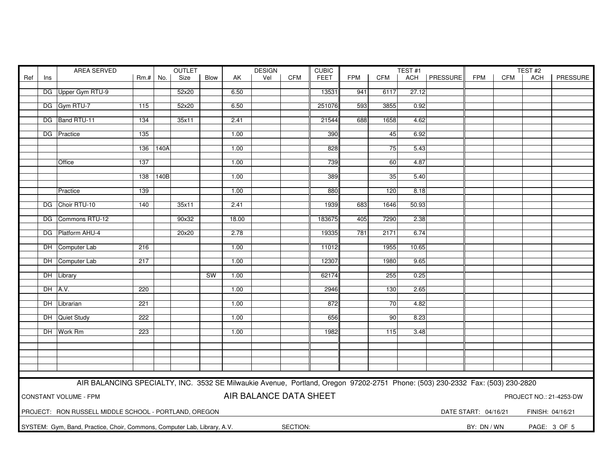| FPM  <br>ACH   PRESSURE<br>Ref<br>Rm.# No.<br>Size<br>Blow<br>Vel<br><b>CFM</b><br><b>FEET</b><br>CFM<br><b>FPM</b><br><b>CFM</b><br>AK<br>ACH<br>Ins<br>DG Upper Gym RTU-9<br>52x20<br>6.50<br>13531<br>941<br>6117<br>27.12<br>DG Gym RTU-7<br>52x20<br>6.50<br>251076<br>593<br>3855<br>0.92<br>115<br>DG Band RTU-11<br>21544<br>134<br>35x11<br>2.41<br>688<br>1658<br>4.62<br>DG Practice<br>1.00<br>390<br>135<br>45<br>6.92<br>828<br>136<br>140A<br>1.00<br>75<br>5.43<br>137<br>1.00<br>739<br>4.87<br>60<br>Office<br>140B<br>1.00<br>389<br>35<br>5.40<br>138<br>1.00<br>880<br>120<br>Practice<br>139<br>8.18<br>DG Choir RTU-10<br>140<br>35x11<br>2.41<br>1939<br>683<br>1646<br>50.93<br>DG Commons RTU-12<br>90x32<br>18.00<br>183675<br>405<br>7290<br>2.38<br>DG Platform AHU-4<br>19335<br>781<br>20x20<br>2.78<br>2171<br>6.74<br>10.65<br>DH Computer Lab<br>216<br>1.00<br>11012<br>1955<br>DH Computer Lab<br>1.00<br>12307<br>1980<br>9.65<br>217<br><b>SW</b><br>62174<br>0.25<br>DH Library<br>1.00<br>255<br>DH A.V.<br>1.00<br>2946<br>130<br>220<br>2.65<br>1.00<br>872<br>4.82<br>DH Librarian<br>221<br>70<br>DH Quiet Study<br>222<br>1.00<br>656<br>90<br>8.23<br>DH Work Rm<br>223<br>1.00<br>1982<br>115<br>3.48<br>AIR BALANCING SPECIALTY, INC. 3532 SE Milwaukie Avenue, Portland, Oregon 97202-2751 Phone: (503) 230-2332 Fax: (503) 230-2820<br>AIR BALANCE DATA SHEET<br>CONSTANT VOLUME - FPM<br>PROJECT NO.: 21-4253-DW<br>PROJECT: RON RUSSELL MIDDLE SCHOOL - PORTLAND, OREGON<br>DATE START: 04/16/21<br>FINISH: 04/16/21<br>SYSTEM: Gym, Band, Practice, Choir, Commons, Computer Lab, Library, A.V.<br>SECTION:<br>BY: DN / WN<br>PAGE: 3 OF 5 |  | <b>AREA SERVED</b> |  |  | <b>OUTLET</b> |  |  | <b>DESIGN</b> |  | <b>CUBIC</b> |  |  | TEST#1 |  | TEST#2 |          |
|-------------------------------------------------------------------------------------------------------------------------------------------------------------------------------------------------------------------------------------------------------------------------------------------------------------------------------------------------------------------------------------------------------------------------------------------------------------------------------------------------------------------------------------------------------------------------------------------------------------------------------------------------------------------------------------------------------------------------------------------------------------------------------------------------------------------------------------------------------------------------------------------------------------------------------------------------------------------------------------------------------------------------------------------------------------------------------------------------------------------------------------------------------------------------------------------------------------------------------------------------------------------------------------------------------------------------------------------------------------------------------------------------------------------------------------------------------------------------------------------------------------------------------------------------------------------------------------------------------------------------------------------------------------------------------------------------|--|--------------------|--|--|---------------|--|--|---------------|--|--------------|--|--|--------|--|--------|----------|
|                                                                                                                                                                                                                                                                                                                                                                                                                                                                                                                                                                                                                                                                                                                                                                                                                                                                                                                                                                                                                                                                                                                                                                                                                                                                                                                                                                                                                                                                                                                                                                                                                                                                                                 |  |                    |  |  |               |  |  |               |  |              |  |  |        |  |        | PRESSURE |
|                                                                                                                                                                                                                                                                                                                                                                                                                                                                                                                                                                                                                                                                                                                                                                                                                                                                                                                                                                                                                                                                                                                                                                                                                                                                                                                                                                                                                                                                                                                                                                                                                                                                                                 |  |                    |  |  |               |  |  |               |  |              |  |  |        |  |        |          |
|                                                                                                                                                                                                                                                                                                                                                                                                                                                                                                                                                                                                                                                                                                                                                                                                                                                                                                                                                                                                                                                                                                                                                                                                                                                                                                                                                                                                                                                                                                                                                                                                                                                                                                 |  |                    |  |  |               |  |  |               |  |              |  |  |        |  |        |          |
|                                                                                                                                                                                                                                                                                                                                                                                                                                                                                                                                                                                                                                                                                                                                                                                                                                                                                                                                                                                                                                                                                                                                                                                                                                                                                                                                                                                                                                                                                                                                                                                                                                                                                                 |  |                    |  |  |               |  |  |               |  |              |  |  |        |  |        |          |
|                                                                                                                                                                                                                                                                                                                                                                                                                                                                                                                                                                                                                                                                                                                                                                                                                                                                                                                                                                                                                                                                                                                                                                                                                                                                                                                                                                                                                                                                                                                                                                                                                                                                                                 |  |                    |  |  |               |  |  |               |  |              |  |  |        |  |        |          |
|                                                                                                                                                                                                                                                                                                                                                                                                                                                                                                                                                                                                                                                                                                                                                                                                                                                                                                                                                                                                                                                                                                                                                                                                                                                                                                                                                                                                                                                                                                                                                                                                                                                                                                 |  |                    |  |  |               |  |  |               |  |              |  |  |        |  |        |          |
|                                                                                                                                                                                                                                                                                                                                                                                                                                                                                                                                                                                                                                                                                                                                                                                                                                                                                                                                                                                                                                                                                                                                                                                                                                                                                                                                                                                                                                                                                                                                                                                                                                                                                                 |  |                    |  |  |               |  |  |               |  |              |  |  |        |  |        |          |
|                                                                                                                                                                                                                                                                                                                                                                                                                                                                                                                                                                                                                                                                                                                                                                                                                                                                                                                                                                                                                                                                                                                                                                                                                                                                                                                                                                                                                                                                                                                                                                                                                                                                                                 |  |                    |  |  |               |  |  |               |  |              |  |  |        |  |        |          |
|                                                                                                                                                                                                                                                                                                                                                                                                                                                                                                                                                                                                                                                                                                                                                                                                                                                                                                                                                                                                                                                                                                                                                                                                                                                                                                                                                                                                                                                                                                                                                                                                                                                                                                 |  |                    |  |  |               |  |  |               |  |              |  |  |        |  |        |          |
|                                                                                                                                                                                                                                                                                                                                                                                                                                                                                                                                                                                                                                                                                                                                                                                                                                                                                                                                                                                                                                                                                                                                                                                                                                                                                                                                                                                                                                                                                                                                                                                                                                                                                                 |  |                    |  |  |               |  |  |               |  |              |  |  |        |  |        |          |
|                                                                                                                                                                                                                                                                                                                                                                                                                                                                                                                                                                                                                                                                                                                                                                                                                                                                                                                                                                                                                                                                                                                                                                                                                                                                                                                                                                                                                                                                                                                                                                                                                                                                                                 |  |                    |  |  |               |  |  |               |  |              |  |  |        |  |        |          |
|                                                                                                                                                                                                                                                                                                                                                                                                                                                                                                                                                                                                                                                                                                                                                                                                                                                                                                                                                                                                                                                                                                                                                                                                                                                                                                                                                                                                                                                                                                                                                                                                                                                                                                 |  |                    |  |  |               |  |  |               |  |              |  |  |        |  |        |          |
|                                                                                                                                                                                                                                                                                                                                                                                                                                                                                                                                                                                                                                                                                                                                                                                                                                                                                                                                                                                                                                                                                                                                                                                                                                                                                                                                                                                                                                                                                                                                                                                                                                                                                                 |  |                    |  |  |               |  |  |               |  |              |  |  |        |  |        |          |
|                                                                                                                                                                                                                                                                                                                                                                                                                                                                                                                                                                                                                                                                                                                                                                                                                                                                                                                                                                                                                                                                                                                                                                                                                                                                                                                                                                                                                                                                                                                                                                                                                                                                                                 |  |                    |  |  |               |  |  |               |  |              |  |  |        |  |        |          |
|                                                                                                                                                                                                                                                                                                                                                                                                                                                                                                                                                                                                                                                                                                                                                                                                                                                                                                                                                                                                                                                                                                                                                                                                                                                                                                                                                                                                                                                                                                                                                                                                                                                                                                 |  |                    |  |  |               |  |  |               |  |              |  |  |        |  |        |          |
|                                                                                                                                                                                                                                                                                                                                                                                                                                                                                                                                                                                                                                                                                                                                                                                                                                                                                                                                                                                                                                                                                                                                                                                                                                                                                                                                                                                                                                                                                                                                                                                                                                                                                                 |  |                    |  |  |               |  |  |               |  |              |  |  |        |  |        |          |
|                                                                                                                                                                                                                                                                                                                                                                                                                                                                                                                                                                                                                                                                                                                                                                                                                                                                                                                                                                                                                                                                                                                                                                                                                                                                                                                                                                                                                                                                                                                                                                                                                                                                                                 |  |                    |  |  |               |  |  |               |  |              |  |  |        |  |        |          |
|                                                                                                                                                                                                                                                                                                                                                                                                                                                                                                                                                                                                                                                                                                                                                                                                                                                                                                                                                                                                                                                                                                                                                                                                                                                                                                                                                                                                                                                                                                                                                                                                                                                                                                 |  |                    |  |  |               |  |  |               |  |              |  |  |        |  |        |          |
|                                                                                                                                                                                                                                                                                                                                                                                                                                                                                                                                                                                                                                                                                                                                                                                                                                                                                                                                                                                                                                                                                                                                                                                                                                                                                                                                                                                                                                                                                                                                                                                                                                                                                                 |  |                    |  |  |               |  |  |               |  |              |  |  |        |  |        |          |
|                                                                                                                                                                                                                                                                                                                                                                                                                                                                                                                                                                                                                                                                                                                                                                                                                                                                                                                                                                                                                                                                                                                                                                                                                                                                                                                                                                                                                                                                                                                                                                                                                                                                                                 |  |                    |  |  |               |  |  |               |  |              |  |  |        |  |        |          |
|                                                                                                                                                                                                                                                                                                                                                                                                                                                                                                                                                                                                                                                                                                                                                                                                                                                                                                                                                                                                                                                                                                                                                                                                                                                                                                                                                                                                                                                                                                                                                                                                                                                                                                 |  |                    |  |  |               |  |  |               |  |              |  |  |        |  |        |          |
|                                                                                                                                                                                                                                                                                                                                                                                                                                                                                                                                                                                                                                                                                                                                                                                                                                                                                                                                                                                                                                                                                                                                                                                                                                                                                                                                                                                                                                                                                                                                                                                                                                                                                                 |  |                    |  |  |               |  |  |               |  |              |  |  |        |  |        |          |
|                                                                                                                                                                                                                                                                                                                                                                                                                                                                                                                                                                                                                                                                                                                                                                                                                                                                                                                                                                                                                                                                                                                                                                                                                                                                                                                                                                                                                                                                                                                                                                                                                                                                                                 |  |                    |  |  |               |  |  |               |  |              |  |  |        |  |        |          |
|                                                                                                                                                                                                                                                                                                                                                                                                                                                                                                                                                                                                                                                                                                                                                                                                                                                                                                                                                                                                                                                                                                                                                                                                                                                                                                                                                                                                                                                                                                                                                                                                                                                                                                 |  |                    |  |  |               |  |  |               |  |              |  |  |        |  |        |          |
|                                                                                                                                                                                                                                                                                                                                                                                                                                                                                                                                                                                                                                                                                                                                                                                                                                                                                                                                                                                                                                                                                                                                                                                                                                                                                                                                                                                                                                                                                                                                                                                                                                                                                                 |  |                    |  |  |               |  |  |               |  |              |  |  |        |  |        |          |
|                                                                                                                                                                                                                                                                                                                                                                                                                                                                                                                                                                                                                                                                                                                                                                                                                                                                                                                                                                                                                                                                                                                                                                                                                                                                                                                                                                                                                                                                                                                                                                                                                                                                                                 |  |                    |  |  |               |  |  |               |  |              |  |  |        |  |        |          |
|                                                                                                                                                                                                                                                                                                                                                                                                                                                                                                                                                                                                                                                                                                                                                                                                                                                                                                                                                                                                                                                                                                                                                                                                                                                                                                                                                                                                                                                                                                                                                                                                                                                                                                 |  |                    |  |  |               |  |  |               |  |              |  |  |        |  |        |          |
|                                                                                                                                                                                                                                                                                                                                                                                                                                                                                                                                                                                                                                                                                                                                                                                                                                                                                                                                                                                                                                                                                                                                                                                                                                                                                                                                                                                                                                                                                                                                                                                                                                                                                                 |  |                    |  |  |               |  |  |               |  |              |  |  |        |  |        |          |
|                                                                                                                                                                                                                                                                                                                                                                                                                                                                                                                                                                                                                                                                                                                                                                                                                                                                                                                                                                                                                                                                                                                                                                                                                                                                                                                                                                                                                                                                                                                                                                                                                                                                                                 |  |                    |  |  |               |  |  |               |  |              |  |  |        |  |        |          |
|                                                                                                                                                                                                                                                                                                                                                                                                                                                                                                                                                                                                                                                                                                                                                                                                                                                                                                                                                                                                                                                                                                                                                                                                                                                                                                                                                                                                                                                                                                                                                                                                                                                                                                 |  |                    |  |  |               |  |  |               |  |              |  |  |        |  |        |          |
|                                                                                                                                                                                                                                                                                                                                                                                                                                                                                                                                                                                                                                                                                                                                                                                                                                                                                                                                                                                                                                                                                                                                                                                                                                                                                                                                                                                                                                                                                                                                                                                                                                                                                                 |  |                    |  |  |               |  |  |               |  |              |  |  |        |  |        |          |
|                                                                                                                                                                                                                                                                                                                                                                                                                                                                                                                                                                                                                                                                                                                                                                                                                                                                                                                                                                                                                                                                                                                                                                                                                                                                                                                                                                                                                                                                                                                                                                                                                                                                                                 |  |                    |  |  |               |  |  |               |  |              |  |  |        |  |        |          |
|                                                                                                                                                                                                                                                                                                                                                                                                                                                                                                                                                                                                                                                                                                                                                                                                                                                                                                                                                                                                                                                                                                                                                                                                                                                                                                                                                                                                                                                                                                                                                                                                                                                                                                 |  |                    |  |  |               |  |  |               |  |              |  |  |        |  |        |          |
|                                                                                                                                                                                                                                                                                                                                                                                                                                                                                                                                                                                                                                                                                                                                                                                                                                                                                                                                                                                                                                                                                                                                                                                                                                                                                                                                                                                                                                                                                                                                                                                                                                                                                                 |  |                    |  |  |               |  |  |               |  |              |  |  |        |  |        |          |
|                                                                                                                                                                                                                                                                                                                                                                                                                                                                                                                                                                                                                                                                                                                                                                                                                                                                                                                                                                                                                                                                                                                                                                                                                                                                                                                                                                                                                                                                                                                                                                                                                                                                                                 |  |                    |  |  |               |  |  |               |  |              |  |  |        |  |        |          |
|                                                                                                                                                                                                                                                                                                                                                                                                                                                                                                                                                                                                                                                                                                                                                                                                                                                                                                                                                                                                                                                                                                                                                                                                                                                                                                                                                                                                                                                                                                                                                                                                                                                                                                 |  |                    |  |  |               |  |  |               |  |              |  |  |        |  |        |          |
|                                                                                                                                                                                                                                                                                                                                                                                                                                                                                                                                                                                                                                                                                                                                                                                                                                                                                                                                                                                                                                                                                                                                                                                                                                                                                                                                                                                                                                                                                                                                                                                                                                                                                                 |  |                    |  |  |               |  |  |               |  |              |  |  |        |  |        |          |
|                                                                                                                                                                                                                                                                                                                                                                                                                                                                                                                                                                                                                                                                                                                                                                                                                                                                                                                                                                                                                                                                                                                                                                                                                                                                                                                                                                                                                                                                                                                                                                                                                                                                                                 |  |                    |  |  |               |  |  |               |  |              |  |  |        |  |        |          |
|                                                                                                                                                                                                                                                                                                                                                                                                                                                                                                                                                                                                                                                                                                                                                                                                                                                                                                                                                                                                                                                                                                                                                                                                                                                                                                                                                                                                                                                                                                                                                                                                                                                                                                 |  |                    |  |  |               |  |  |               |  |              |  |  |        |  |        |          |
|                                                                                                                                                                                                                                                                                                                                                                                                                                                                                                                                                                                                                                                                                                                                                                                                                                                                                                                                                                                                                                                                                                                                                                                                                                                                                                                                                                                                                                                                                                                                                                                                                                                                                                 |  |                    |  |  |               |  |  |               |  |              |  |  |        |  |        |          |
|                                                                                                                                                                                                                                                                                                                                                                                                                                                                                                                                                                                                                                                                                                                                                                                                                                                                                                                                                                                                                                                                                                                                                                                                                                                                                                                                                                                                                                                                                                                                                                                                                                                                                                 |  |                    |  |  |               |  |  |               |  |              |  |  |        |  |        |          |
|                                                                                                                                                                                                                                                                                                                                                                                                                                                                                                                                                                                                                                                                                                                                                                                                                                                                                                                                                                                                                                                                                                                                                                                                                                                                                                                                                                                                                                                                                                                                                                                                                                                                                                 |  |                    |  |  |               |  |  |               |  |              |  |  |        |  |        |          |
|                                                                                                                                                                                                                                                                                                                                                                                                                                                                                                                                                                                                                                                                                                                                                                                                                                                                                                                                                                                                                                                                                                                                                                                                                                                                                                                                                                                                                                                                                                                                                                                                                                                                                                 |  |                    |  |  |               |  |  |               |  |              |  |  |        |  |        |          |
|                                                                                                                                                                                                                                                                                                                                                                                                                                                                                                                                                                                                                                                                                                                                                                                                                                                                                                                                                                                                                                                                                                                                                                                                                                                                                                                                                                                                                                                                                                                                                                                                                                                                                                 |  |                    |  |  |               |  |  |               |  |              |  |  |        |  |        |          |
|                                                                                                                                                                                                                                                                                                                                                                                                                                                                                                                                                                                                                                                                                                                                                                                                                                                                                                                                                                                                                                                                                                                                                                                                                                                                                                                                                                                                                                                                                                                                                                                                                                                                                                 |  |                    |  |  |               |  |  |               |  |              |  |  |        |  |        |          |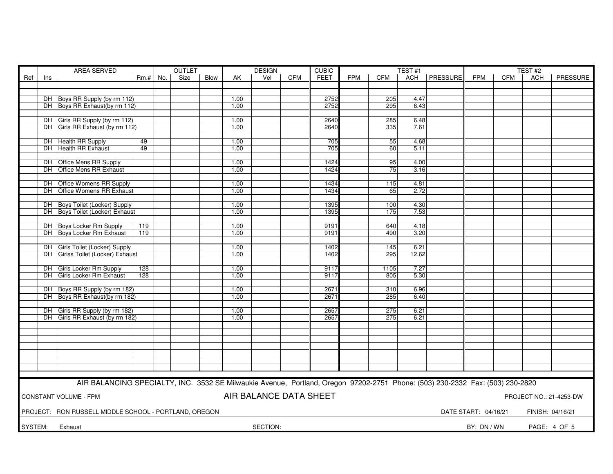| AREA SERVED |     |                                                                                                                               |            | <b>OUTLET</b> |      |      | <b>DESIGN</b> |                        | <b>CUBIC</b> |             |            | TEST#1     |              |          |                      | TEST <sub>#2</sub> |                  |                         |
|-------------|-----|-------------------------------------------------------------------------------------------------------------------------------|------------|---------------|------|------|---------------|------------------------|--------------|-------------|------------|------------|--------------|----------|----------------------|--------------------|------------------|-------------------------|
| Ref         | Ins |                                                                                                                               | $Rm.+$ No. |               | Size | Blow | AK            | Vel                    | <b>CFM</b>   | <b>FEET</b> | <b>FPM</b> | <b>CFM</b> | ACH          | PRESSURE | <b>FPM</b>           | <b>CFM</b>         | <b>ACH</b>       | PRESSURE                |
|             |     |                                                                                                                               |            |               |      |      |               |                        |              |             |            |            |              |          |                      |                    |                  |                         |
|             |     |                                                                                                                               |            |               |      |      |               |                        |              |             |            |            |              |          |                      |                    |                  |                         |
|             |     | DH Boys RR Supply (by rm 112)                                                                                                 |            |               |      |      | 1.00          |                        |              | 2752        |            | 205        | 4.47         |          |                      |                    |                  |                         |
|             |     | DH Boys RR Exhaust(by rm 112)                                                                                                 |            |               |      |      | 1.00          |                        |              | 2752        |            | 295        | 6.43         |          |                      |                    |                  |                         |
|             |     |                                                                                                                               |            |               |      |      |               |                        |              |             |            |            |              |          |                      |                    |                  |                         |
|             |     | DH Girls RR Supply (by rm 112)                                                                                                | 1.00       |               |      | 2640 |               | 285                    | 6.48         |             |            |            |              |          |                      |                    |                  |                         |
|             |     | DH Girls RR Exhaust (by rm 112)                                                                                               |            |               |      |      | 1.00          |                        |              | 2640        |            | 335        | 7.61         |          |                      |                    |                  |                         |
|             |     |                                                                                                                               |            |               |      |      |               |                        |              |             |            |            |              |          |                      |                    |                  |                         |
|             |     | DH Health RR Supply                                                                                                           | 49         |               |      |      | 1.00          |                        |              | 705         |            | 55         | 4.68         |          |                      |                    |                  |                         |
|             |     | DH Health RR Exhaust                                                                                                          | 49         |               |      |      | 1.00          |                        |              | 705         |            | 60         | 5.11         |          |                      |                    |                  |                         |
|             |     |                                                                                                                               |            |               |      |      |               |                        |              |             |            |            |              |          |                      |                    |                  |                         |
|             |     | 1.00<br>DH Office Mens RR Supply<br>1424<br>95<br>4.00                                                                        |            |               |      |      |               |                        |              |             |            |            |              |          |                      |                    |                  |                         |
|             |     | DH Office Mens RR Exhaust<br>75<br>1.00<br>1424<br>3.16                                                                       |            |               |      |      |               |                        |              |             |            |            |              |          |                      |                    |                  |                         |
|             |     |                                                                                                                               |            |               |      |      |               |                        |              |             |            |            |              |          |                      |                    |                  |                         |
|             |     | DH Office Womens RR Supply                                                                                                    |            |               |      |      | 1.00          |                        |              | 1434        |            | 115        | 4.81         |          |                      |                    |                  |                         |
|             |     | DH Office Womens RR Exhaust                                                                                                   |            |               |      |      | 1.00          |                        |              | 1434        |            | 65         | 2.72         |          |                      |                    |                  |                         |
|             |     |                                                                                                                               |            |               |      |      |               |                        |              |             |            |            |              |          |                      |                    |                  |                         |
|             |     | DH Boys Toilet (Locker) Supply                                                                                                |            |               |      |      | 1.00          |                        |              | 1395        |            | 100        | 4.30         |          |                      |                    |                  |                         |
|             |     | DH Boys Toilet (Locker) Exhaust                                                                                               |            |               |      |      | 1.00          |                        |              | 1395        |            | 175        | 7.53         |          |                      |                    |                  |                         |
|             |     |                                                                                                                               |            |               |      |      |               |                        |              |             |            |            |              |          |                      |                    |                  |                         |
|             |     | DH Boys Locker Rm Supply                                                                                                      | 119        |               |      |      | 1.00          |                        |              | 9191        |            | 640        | 4.18         |          |                      |                    |                  |                         |
|             |     | DH Boys Locker Rm Exhaust                                                                                                     | 119        |               |      |      | 1.00          |                        |              | 9191        |            | 490        | 3.20         |          |                      |                    |                  |                         |
|             |     |                                                                                                                               |            |               |      |      |               |                        |              |             |            |            |              |          |                      |                    |                  |                         |
|             |     | DH Girls Toilet (Locker) Supply                                                                                               |            |               |      |      | 1.00          |                        |              | 1402        |            | 145        | 6.21         |          |                      |                    |                  |                         |
|             |     | DH Girlss Toilet (Locker) Exhaust                                                                                             |            |               |      |      | 1.00          |                        |              | 1402        |            | 295        | 12.62        |          |                      |                    |                  |                         |
|             |     |                                                                                                                               |            |               |      |      |               |                        |              |             |            |            |              |          |                      |                    |                  |                         |
|             |     | DH Girls Locker Rm Supply                                                                                                     | 128        |               |      |      | 1.00          |                        |              | 9117        |            | 1105       | 7.27         |          |                      |                    |                  |                         |
|             |     | DH Girls Locker Rm Exhaust                                                                                                    | 128        |               |      |      | 1.00          |                        |              | 9117        |            | 805        | 5.30         |          |                      |                    |                  |                         |
|             |     |                                                                                                                               |            |               |      |      |               |                        |              |             |            |            |              |          |                      |                    |                  |                         |
|             |     | DH Boys RR Supply (by rm 182)                                                                                                 |            |               |      |      | 1.00          |                        |              | 2671        |            | 310        | 6.96         |          |                      |                    |                  |                         |
|             |     | DH Boys RR Exhaust(by rm 182)                                                                                                 |            |               |      |      | 1.00          |                        |              | 2671        |            | 285        | 6.40         |          |                      |                    |                  |                         |
|             |     |                                                                                                                               |            |               |      |      |               |                        |              |             |            |            |              |          |                      |                    |                  |                         |
|             |     | DH Girls RR Supply (by rm 182)                                                                                                |            |               |      |      | 1.00          |                        |              | 2657        |            | 275        | 6.21<br>6.21 |          |                      |                    |                  |                         |
|             |     | DH Girls RR Exhaust (by rm 182)                                                                                               |            |               |      |      | 1.00          |                        |              | 2657        |            | 275        |              |          |                      |                    |                  |                         |
|             |     |                                                                                                                               |            |               |      |      |               |                        |              |             |            |            |              |          |                      |                    |                  |                         |
|             |     |                                                                                                                               |            |               |      |      |               |                        |              |             |            |            |              |          |                      |                    |                  |                         |
|             |     |                                                                                                                               |            |               |      |      |               |                        |              |             |            |            |              |          |                      |                    |                  |                         |
|             |     |                                                                                                                               |            |               |      |      |               |                        |              |             |            |            |              |          |                      |                    |                  |                         |
|             |     |                                                                                                                               |            |               |      |      |               |                        |              |             |            |            |              |          |                      |                    |                  |                         |
|             |     |                                                                                                                               |            |               |      |      |               |                        |              |             |            |            |              |          |                      |                    |                  |                         |
|             |     |                                                                                                                               |            |               |      |      |               |                        |              |             |            |            |              |          |                      |                    |                  |                         |
|             |     |                                                                                                                               |            |               |      |      |               |                        |              |             |            |            |              |          |                      |                    |                  |                         |
|             |     | AIR BALANCING SPECIALTY, INC. 3532 SE Milwaukie Avenue, Portland, Oregon 97202-2751 Phone: (503) 230-2332 Fax: (503) 230-2820 |            |               |      |      |               |                        |              |             |            |            |              |          |                      |                    |                  |                         |
|             |     | <b>CONSTANT VOLUME - FPM</b>                                                                                                  |            |               |      |      |               | AIR BALANCE DATA SHEET |              |             |            |            |              |          |                      |                    |                  |                         |
|             |     |                                                                                                                               |            |               |      |      |               |                        |              |             |            |            |              |          |                      |                    |                  | PROJECT NO.: 21-4253-DW |
|             |     |                                                                                                                               |            |               |      |      |               |                        |              |             |            |            |              |          |                      |                    |                  |                         |
|             |     | PROJECT: RON RUSSELL MIDDLE SCHOOL - PORTLAND, OREGON                                                                         |            |               |      |      |               |                        |              |             |            |            |              |          | DATE START: 04/16/21 |                    | FINISH: 04/16/21 |                         |
|             |     |                                                                                                                               |            |               |      |      |               |                        |              |             |            |            |              |          |                      |                    |                  |                         |
| SYSTEM:     |     | Exhaust                                                                                                                       |            |               |      |      |               | SECTION:               |              |             |            |            |              |          | BY: DN / WN          |                    |                  | PAGE: 4 OF 5            |
|             |     |                                                                                                                               |            |               |      |      |               |                        |              |             |            |            |              |          |                      |                    |                  |                         |